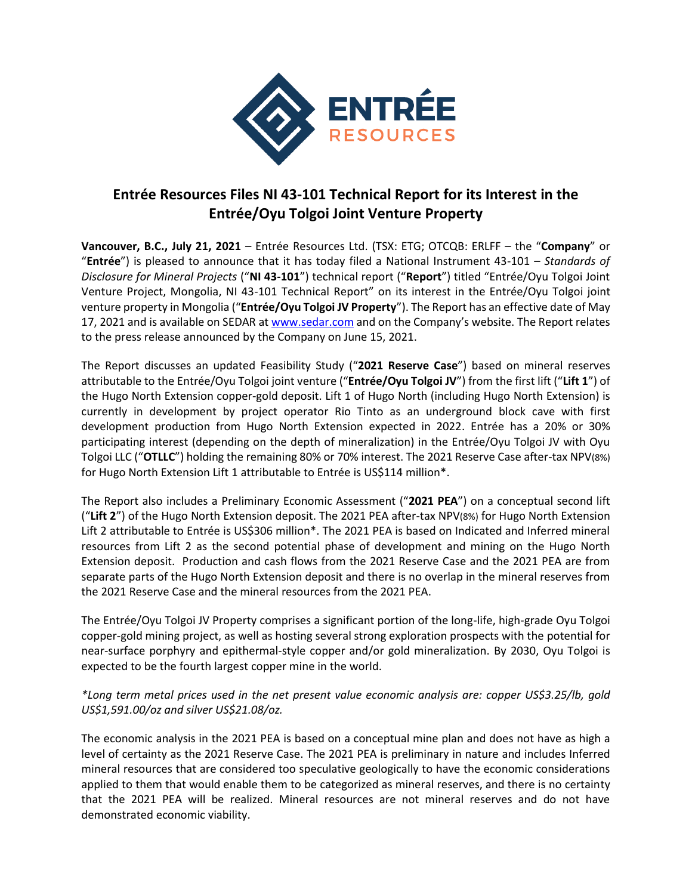

## **Entrée Resources Files NI 43-101 Technical Report for its Interest in the Entrée/Oyu Tolgoi Joint Venture Property**

**Vancouver, B.C., July 21, 2021** – Entrée Resources Ltd. (TSX: ETG; OTCQB: ERLFF – the "**Company**" or "**Entrée**") is pleased to announce that it has today filed a National Instrument 43-101 – *Standards of Disclosure for Mineral Projects* ("**NI 43-101**") technical report ("**Report**") titled "Entrée/Oyu Tolgoi Joint Venture Project, Mongolia, NI 43-101 Technical Report" on its interest in the Entrée/Oyu Tolgoi joint venture property in Mongolia ("**Entrée/Oyu Tolgoi JV Property**"). The Report has an effective date of May 17, 2021 and is available on SEDAR at [www.sedar.com](http://www.sedar.com/) and on the Company's website. The Report relates to the press release announced by the Company on June 15, 2021.

The Report discusses an updated Feasibility Study ("**2021 Reserve Case**") based on mineral reserves attributable to the Entrée/Oyu Tolgoi joint venture ("**Entrée/Oyu Tolgoi JV**") from the first lift ("**Lift 1**") of the Hugo North Extension copper-gold deposit. Lift 1 of Hugo North (including Hugo North Extension) is currently in development by project operator Rio Tinto as an underground block cave with first development production from Hugo North Extension expected in 2022. Entrée has a 20% or 30% participating interest (depending on the depth of mineralization) in the Entrée/Oyu Tolgoi JV with Oyu Tolgoi LLC ("**OTLLC**") holding the remaining 80% or 70% interest. The 2021 Reserve Case after-tax NPV(8%) for Hugo North Extension Lift 1 attributable to Entrée is US\$114 million\*.

The Report also includes a Preliminary Economic Assessment ("**2021 PEA**") on a conceptual second lift ("**Lift 2**") of the Hugo North Extension deposit. The 2021 PEA after-tax NPV(8%) for Hugo North Extension Lift 2 attributable to Entrée is US\$306 million\*. The 2021 PEA is based on Indicated and Inferred mineral resources from Lift 2 as the second potential phase of development and mining on the Hugo North Extension deposit. Production and cash flows from the 2021 Reserve Case and the 2021 PEA are from separate parts of the Hugo North Extension deposit and there is no overlap in the mineral reserves from the 2021 Reserve Case and the mineral resources from the 2021 PEA.

The Entrée/Oyu Tolgoi JV Property comprises a significant portion of the long-life, high-grade Oyu Tolgoi copper-gold mining project, as well as hosting several strong exploration prospects with the potential for near-surface porphyry and epithermal-style copper and/or gold mineralization. By 2030, Oyu Tolgoi is expected to be the fourth largest copper mine in the world.

*\*Long term metal prices used in the net present value economic analysis are: copper US\$3.25/lb, gold US\$1,591.00/oz and silver US\$21.08/oz.*

The economic analysis in the 2021 PEA is based on a conceptual mine plan and does not have as high a level of certainty as the 2021 Reserve Case. The 2021 PEA is preliminary in nature and includes Inferred mineral resources that are considered too speculative geologically to have the economic considerations applied to them that would enable them to be categorized as mineral reserves, and there is no certainty that the 2021 PEA will be realized. Mineral resources are not mineral reserves and do not have demonstrated economic viability.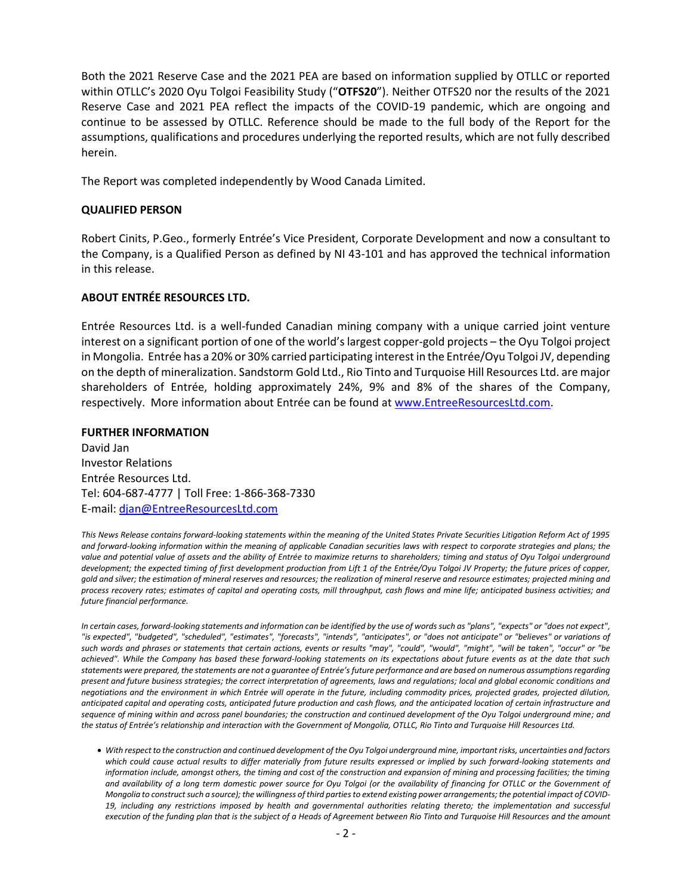Both the 2021 Reserve Case and the 2021 PEA are based on information supplied by OTLLC or reported within OTLLC's 2020 Oyu Tolgoi Feasibility Study ("**OTFS20**"). Neither OTFS20 nor the results of the 2021 Reserve Case and 2021 PEA reflect the impacts of the COVID-19 pandemic, which are ongoing and continue to be assessed by OTLLC. Reference should be made to the full body of the Report for the assumptions, qualifications and procedures underlying the reported results, which are not fully described herein.

The Report was completed independently by Wood Canada Limited.

## **QUALIFIED PERSON**

Robert Cinits, P.Geo., formerly Entrée's Vice President, Corporate Development and now a consultant to the Company, is a Qualified Person as defined by NI 43-101 and has approved the technical information in this release.

## **ABOUT ENTRÉE RESOURCES LTD.**

Entrée Resources Ltd. is a well-funded Canadian mining company with a unique carried joint venture interest on a significant portion of one of the world's largest copper-gold projects – the Oyu Tolgoi project in Mongolia. Entrée has a 20% or 30% carried participating interest in the Entrée/Oyu Tolgoi JV, depending on the depth of mineralization. Sandstorm Gold Ltd., Rio Tinto and Turquoise Hill Resources Ltd. are major shareholders of Entrée, holding approximately 24%, 9% and 8% of the shares of the Company, respectively. More information about Entrée can be found at [www.EntreeResourcesLtd.com.](http://www.entreeresourcesltd.com/)

## **FURTHER INFORMATION**

David Jan Investor Relations Entrée Resources Ltd. Tel: 604-687-4777 | Toll Free: 1-866-368-7330 E-mail: [djan@EntreeResourcesLtd.com](mailto:djan@EntreeResourcesLtd.com)

*This News Release contains forward-looking statements within the meaning of the United States Private Securities Litigation Reform Act of 1995 and forward-looking information within the meaning of applicable Canadian securities laws with respect to corporate strategies and plans; the*  value and potential value of assets and the ability of Entrée to maximize returns to shareholders; timing and status of Oyu Tolgoi underground *development; the expected timing of first development production from Lift 1 of the Entrée/Oyu Tolgoi JV Property; the future prices of copper, gold and silver; the estimation of mineral reserves and resources; the realization of mineral reserve and resource estimates; projected mining and process recovery rates; estimates of capital and operating costs, mill throughput, cash flows and mine life; anticipated business activities; and future financial performance.*

*In certain cases, forward-looking statements and information can be identified by the use of words such as "plans", "expects" or "does not expect", "is expected", "budgeted", "scheduled", "estimates", "forecasts", "intends", "anticipates", or "does not anticipate" or "believes" or variations of such words and phrases or statements that certain actions, events or results "may", "could", "would", "might", "will be taken", "occur" or "be achieved". While the Company has based these forward-looking statements on its expectations about future events as at the date that such statements were prepared, the statements are not a guarantee of Entrée's future performance and are based on numerous assumptions regarding present and future business strategies; the correct interpretation of agreements, laws and regulations; local and global economic conditions and negotiations and the environment in which Entrée will operate in the future, including commodity prices, projected grades, projected dilution, anticipated capital and operating costs, anticipated future production and cash flows, and the anticipated location of certain infrastructure and sequence of mining within and across panel boundaries; the construction and continued development of the Oyu Tolgoi underground mine; and the status of Entrée's relationship and interaction with the Government of Mongolia, OTLLC, Rio Tinto and Turquoise Hill Resources Ltd.*

• *With respect to the construction and continued development of the Oyu Tolgoi underground mine, important risks, uncertainties and factors which could cause actual results to differ materially from future results expressed or implied by such forward-looking statements and information include, amongst others, the timing and cost of the construction and expansion of mining and processing facilities; the timing and availability of a long term domestic power source for Oyu Tolgoi (or the availability of financing for OTLLC or the Government of Mongolia to construct such a source); the willingness of third parties to extend existing power arrangements; the potential impact of COVID-19, including any restrictions imposed by health and governmental authorities relating thereto; the implementation and successful execution of the funding plan that is the subject of a Heads of Agreement between Rio Tinto and Turquoise Hill Resources and the amount*